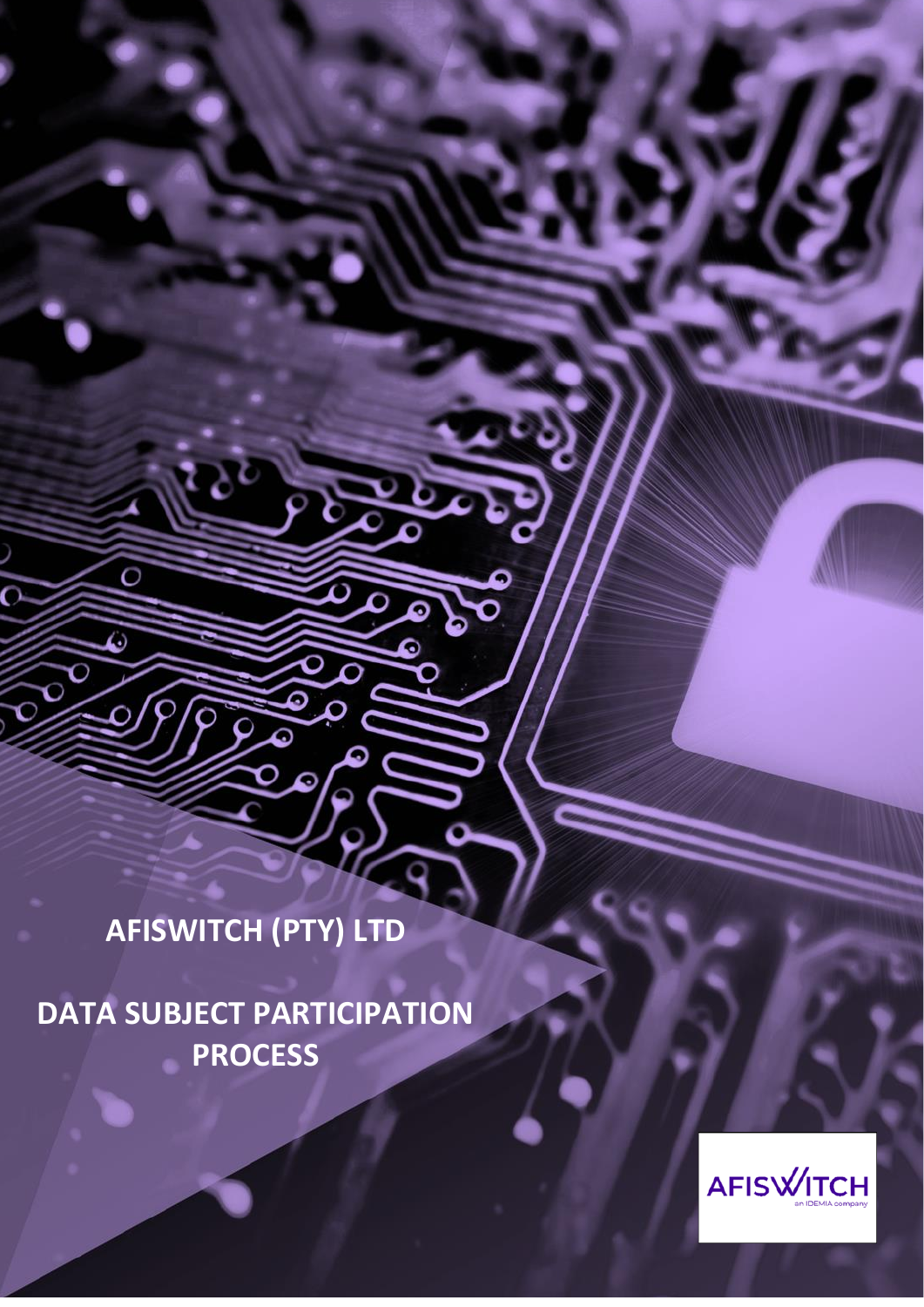**AFISWITCH (PTY) LTD**

 $\overline{\mathrm{o}}$ 

O

Ó

**DATA SUBJECT PARTICIPATION PROCESS**

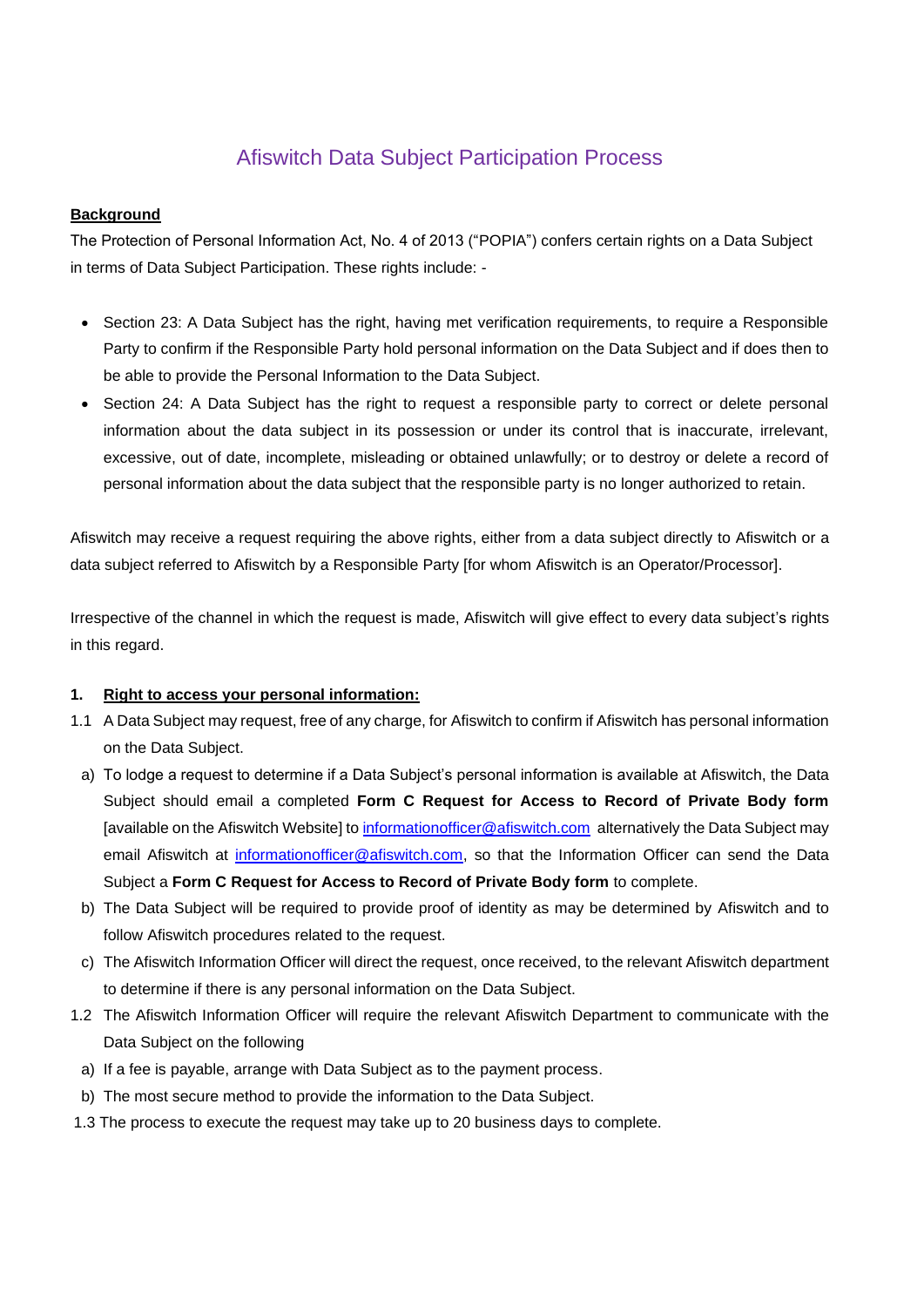# Afiswitch Data Subject Participation Process

## **Background**

The Protection of Personal Information Act, No. 4 of 2013 ("POPIA") confers certain rights on a Data Subject in terms of Data Subject Participation. These rights include: -

- Section 23: A Data Subject has the right, having met verification requirements, to require a Responsible Party to confirm if the Responsible Party hold personal information on the Data Subject and if does then to be able to provide the Personal Information to the Data Subject.
- Section 24: A Data Subject has the right to request a responsible party to correct or delete personal information about the data subject in its possession or under its control that is inaccurate, irrelevant, excessive, out of date, incomplete, misleading or obtained unlawfully; or to destroy or delete a record of personal information about the data subject that the responsible party is no longer authorized to retain.

Afiswitch may receive a request requiring the above rights, either from a data subject directly to Afiswitch or a data subject referred to Afiswitch by a Responsible Party [for whom Afiswitch is an Operator/Processor].

Irrespective of the channel in which the request is made, Afiswitch will give effect to every data subject's rights in this regard.

### **1. Right to access your personal information:**

- 1.1 A Data Subject may request, free of any charge, for Afiswitch to confirm if Afiswitch has personal information on the Data Subject.
	- a) To lodge a request to determine if a Data Subject's personal information is available at Afiswitch, the Data Subject should email a completed **Form C Request for Access to Record of Private Body form** [available on the Afiswitch Website] to [informationofficer@afiswitch.com](mailto:informationofficer@afiswitch.com) alternatively the Data Subject may email Afiswitch at [informationofficer@afiswitch.com,](mailto:informationofficer@afiswitch.com) so that the Information Officer can send the Data Subject a **Form C Request for Access to Record of Private Body form** to complete.
- b) The Data Subject will be required to provide proof of identity as may be determined by Afiswitch and to follow Afiswitch procedures related to the request.
- c) The Afiswitch Information Officer will direct the request, once received, to the relevant Afiswitch department to determine if there is any personal information on the Data Subject.
- 1.2 The Afiswitch Information Officer will require the relevant Afiswitch Department to communicate with the Data Subject on the following
	- a) If a fee is payable, arrange with Data Subject as to the payment process.
	- b) The most secure method to provide the information to the Data Subject.
- 1.3 The process to execute the request may take up to 20 business days to complete.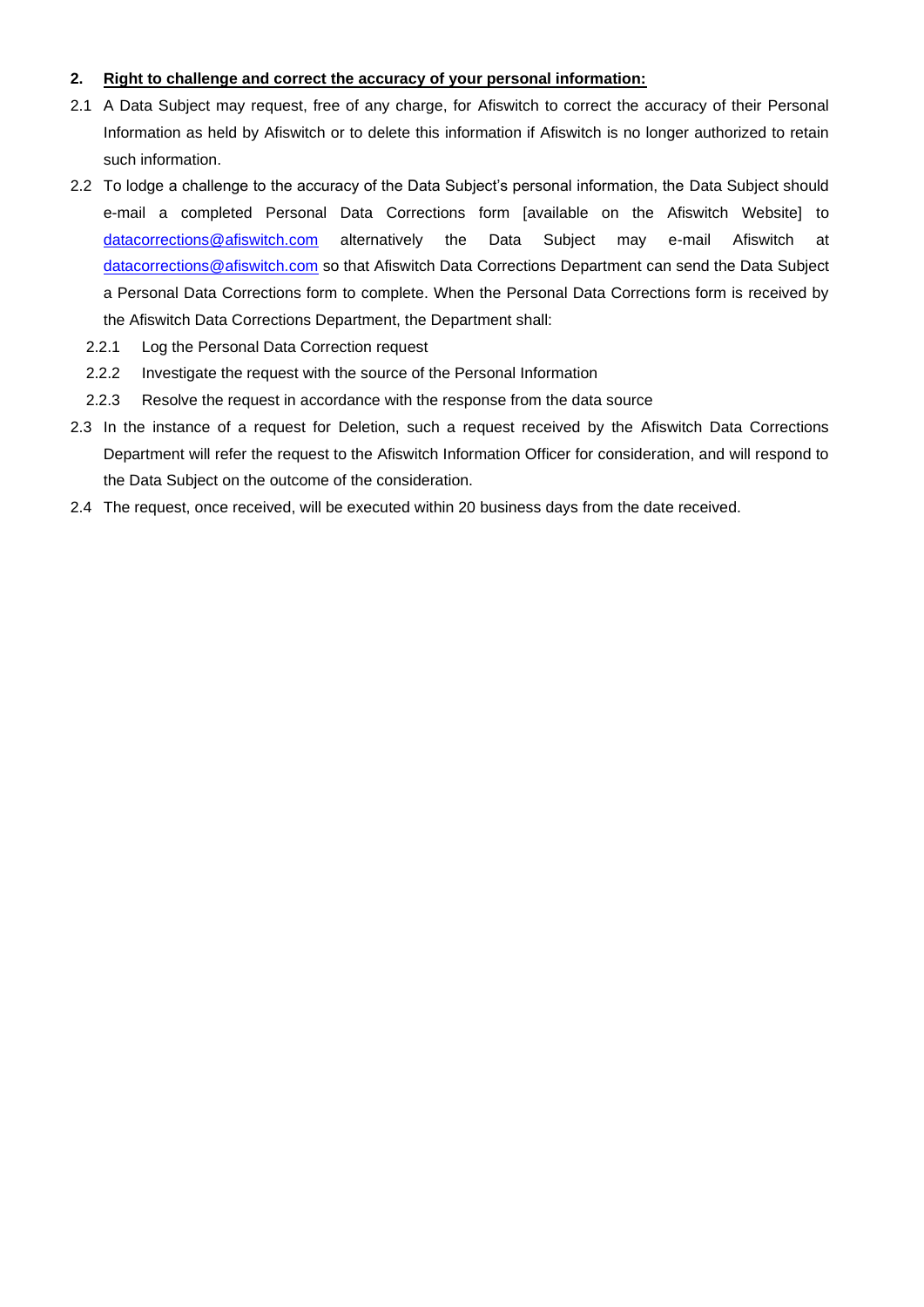# **2. Right to challenge and correct the accuracy of your personal information:**

- 2.1 A Data Subject may request, free of any charge, for Afiswitch to correct the accuracy of their Personal Information as held by Afiswitch or to delete this information if Afiswitch is no longer authorized to retain such information.
- 2.2 To lodge a challenge to the accuracy of the Data Subject's personal information, the Data Subject should e-mail a completed Personal Data Corrections form [available on the Afiswitch Website] to [datacorrections@afiswitch.com](mailto:datacorrections@afiswitch.com) alternatively the Data Subject may e-mail Afiswitch at [datacorrections@afiswitch.com](mailto:datacorrections@afiswitch.com) so that Afiswitch Data Corrections Department can send the Data Subject a Personal Data Corrections form to complete. When the Personal Data Corrections form is received by the Afiswitch Data Corrections Department, the Department shall:
	- 2.2.1 Log the Personal Data Correction request
	- 2.2.2 Investigate the request with the source of the Personal Information
	- 2.2.3 Resolve the request in accordance with the response from the data source
- 2.3 In the instance of a request for Deletion, such a request received by the Afiswitch Data Corrections Department will refer the request to the Afiswitch Information Officer for consideration, and will respond to the Data Subject on the outcome of the consideration.
- 2.4 The request, once received, will be executed within 20 business days from the date received.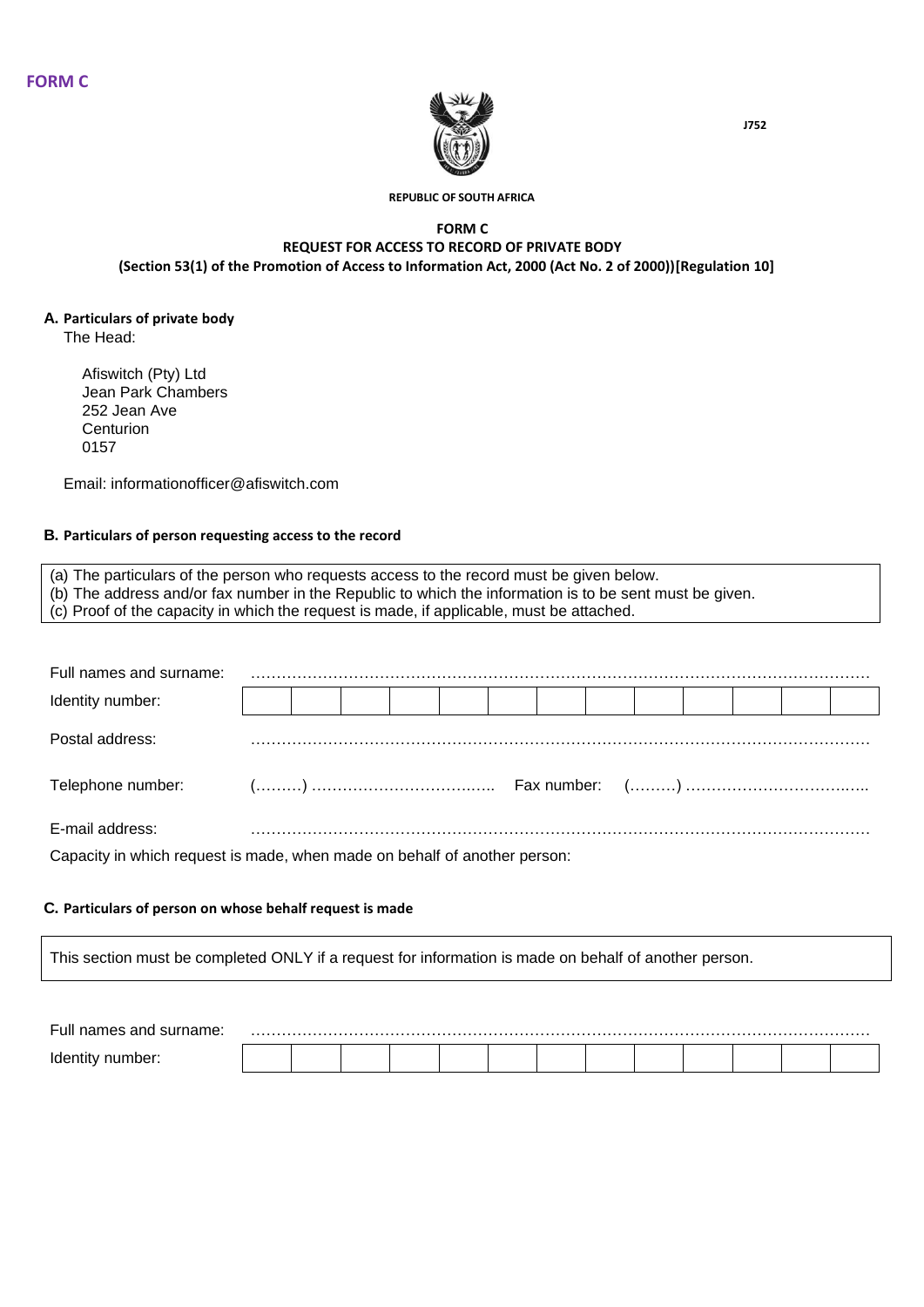

**REPUBLIC OF SOUTH AFRICA**

#### **FORM C REQUEST FOR ACCESS TO RECORD OF PRIVATE BODY (Section 53(1) of the Promotion of Access to Information Act, 2000 (Act No. 2 of 2000))[Regulation 10]**

# **A. Particulars of private body**

The Head:

Afiswitch (Pty) Ltd Jean Park Chambers 252 Jean Ave **Centurion** 0157

Email: informationofficer@afiswitch.com

### **B. Particulars of person requesting access to the record**

(a) The particulars of the person who requests access to the record must be given below. (b) The address and/or fax number in the Republic to which the information is to be sent must be given. (c) Proof of the capacity in which the request is made, if applicable, must be attached.

| Full names and surname:                                                   |  |  |  |  |  |  |  |
|---------------------------------------------------------------------------|--|--|--|--|--|--|--|
| Identity number:                                                          |  |  |  |  |  |  |  |
| Postal address:                                                           |  |  |  |  |  |  |  |
|                                                                           |  |  |  |  |  |  |  |
| E-mail address:                                                           |  |  |  |  |  |  |  |
| Capacity in which request is made, when made on behalf of another person: |  |  |  |  |  |  |  |

#### **C. Particulars of person on whose behalf request is made**

This section must be completed ONLY if a request for information is made on behalf of another person.

| ∙UH<br>мне |  |  |  |  |  |  |  |
|------------|--|--|--|--|--|--|--|
|            |  |  |  |  |  |  |  |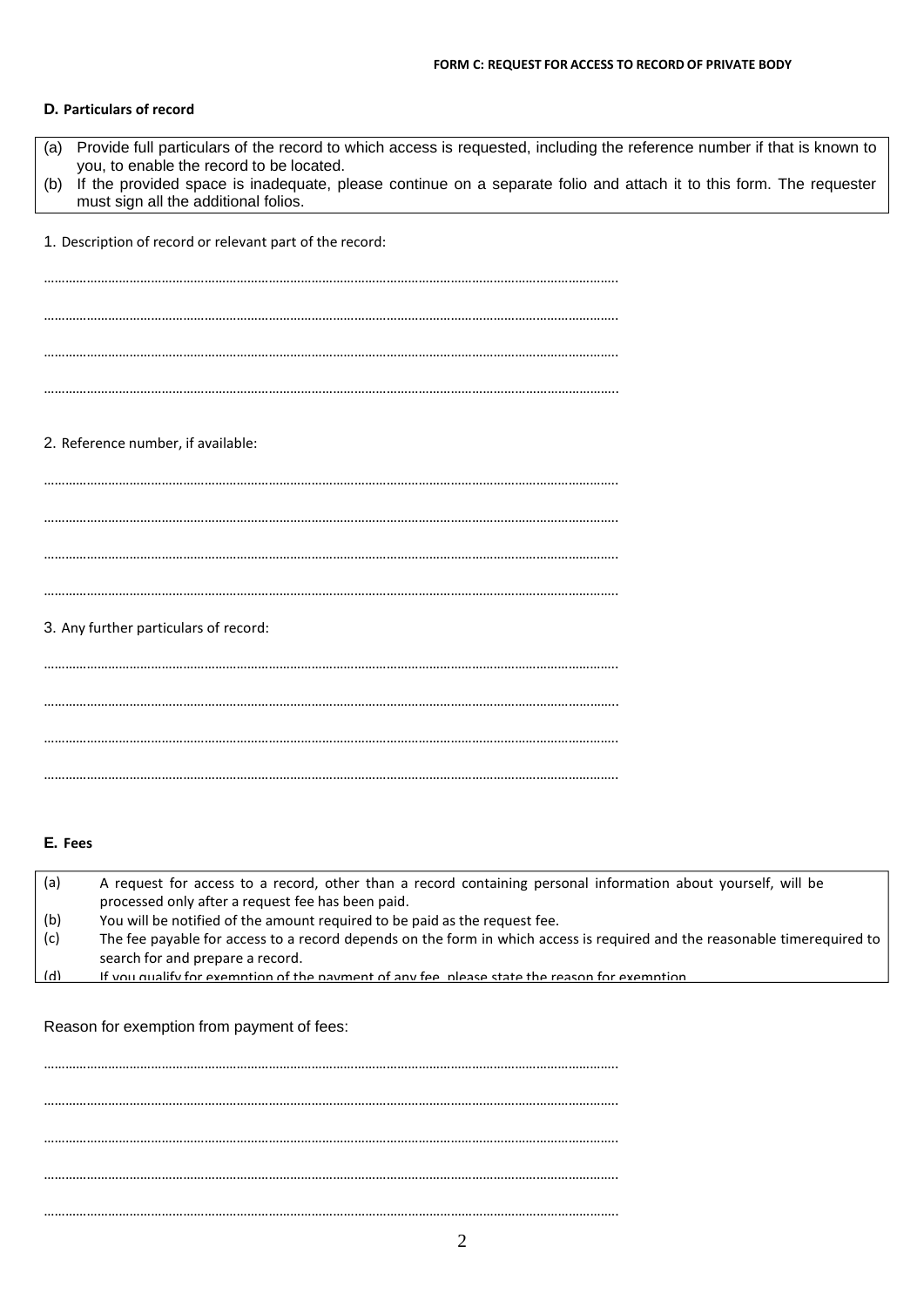#### **D. Particulars of record**

| Provide full particulars of the record to which access is requested, including the reference number if that is known to<br>(a)<br>you, to enable the record to be located. |
|----------------------------------------------------------------------------------------------------------------------------------------------------------------------------|
| If the provided space is inadequate, please continue on a separate folio and attach it to this form. The requester<br>(b)<br>must sign all the additional folios.          |
| 1. Description of record or relevant part of the record:                                                                                                                   |
|                                                                                                                                                                            |
|                                                                                                                                                                            |
|                                                                                                                                                                            |
|                                                                                                                                                                            |
|                                                                                                                                                                            |
|                                                                                                                                                                            |
| 2. Reference number, if available:                                                                                                                                         |
|                                                                                                                                                                            |
|                                                                                                                                                                            |
|                                                                                                                                                                            |
|                                                                                                                                                                            |
| 3. Any further particulars of record:                                                                                                                                      |
|                                                                                                                                                                            |
|                                                                                                                                                                            |
|                                                                                                                                                                            |
|                                                                                                                                                                            |
|                                                                                                                                                                            |
|                                                                                                                                                                            |
| E. Fees                                                                                                                                                                    |

| (a) | A request for access to a record, other than a record containing personal information about yourself, will be             |
|-----|---------------------------------------------------------------------------------------------------------------------------|
|     | processed only after a request fee has been paid.                                                                         |
| (b) | You will be notified of the amount required to be paid as the request fee.                                                |
| (c) | The fee payable for access to a record depends on the form in which access is required and the reasonable timerequired to |
|     | search for and prepare a record.                                                                                          |
| (d) | If you qualify for exemption of the nayment of any fee, please state the reason for exemption                             |
|     |                                                                                                                           |

Reason for exemption from payment of fees:

…………………………………………………………………………………………………………………………………………….. …………………………………………………………………………………………………………………………………………….. …………………………………………………………………………………………………………………………………………….. …………………………………………………………………………………………………………………………………………….. ……………………………………………………………………………………………………………………………………………..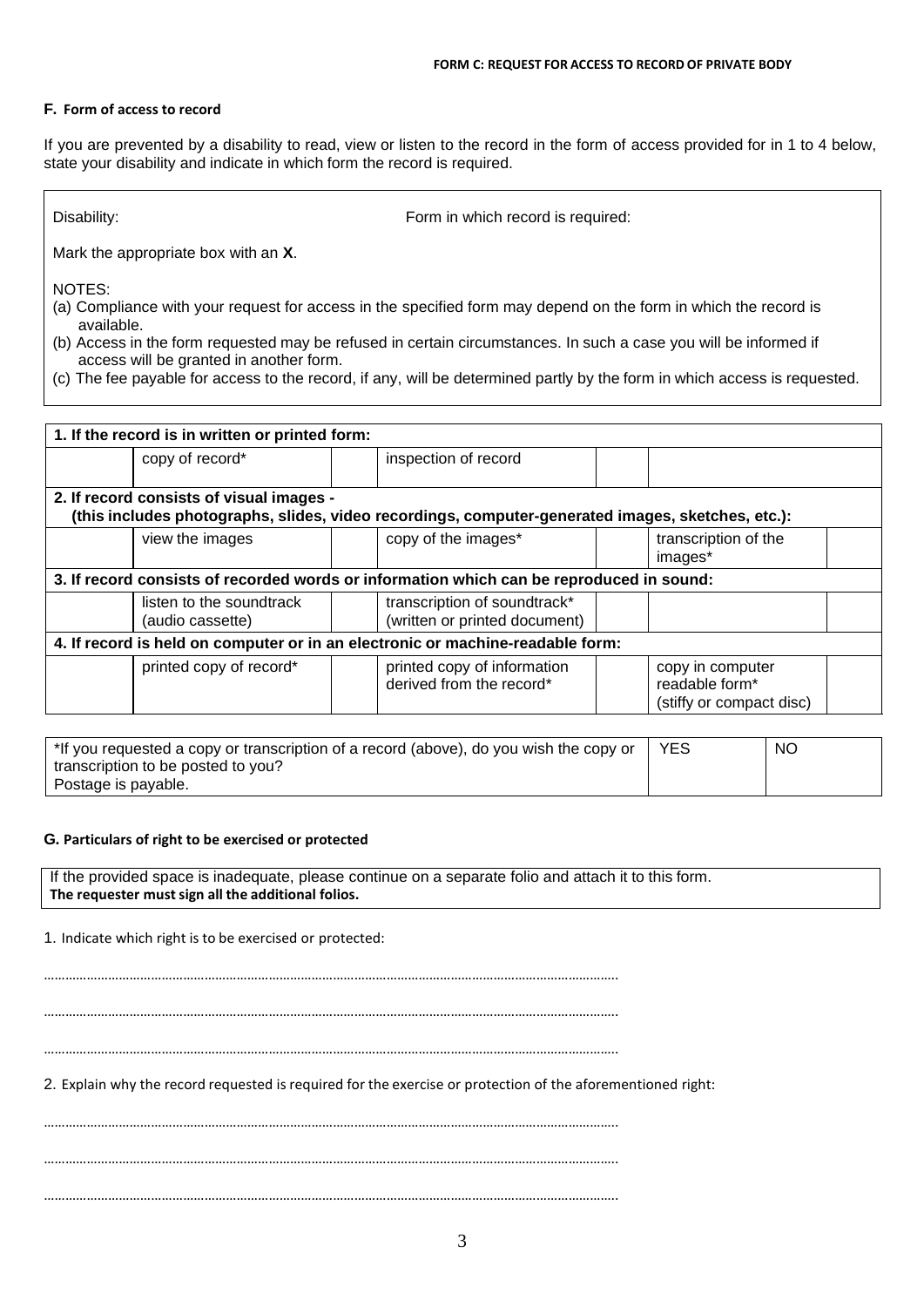#### **F. Form of access to record**

If you are prevented by a disability to read, view or listen to the record in the form of access provided for in 1 to 4 below, state your disability and indicate in which form the record is required.

Disability: Form in which record is required:

Mark the appropriate box with an **X**.

NOTES:

- (a) Compliance with your request for access in the specified form may depend on the form in which the record is available.
- (b) Access in the form requested may be refused in certain circumstances. In such a case you will be informed if access will be granted in another form.
- (c) The fee payable for access to the record, if any, will be determined partly by the form in which access is requested.

| 1. If the record is in written or printed form:                                          |  |                                                                                                   |  |                                                                |  |  |
|------------------------------------------------------------------------------------------|--|---------------------------------------------------------------------------------------------------|--|----------------------------------------------------------------|--|--|
| copy of record*                                                                          |  | inspection of record                                                                              |  |                                                                |  |  |
|                                                                                          |  |                                                                                                   |  |                                                                |  |  |
| 2. If record consists of visual images -                                                 |  |                                                                                                   |  |                                                                |  |  |
|                                                                                          |  | (this includes photographs, slides, video recordings, computer-generated images, sketches, etc.): |  |                                                                |  |  |
| view the images                                                                          |  | copy of the images*                                                                               |  | transcription of the<br>images*                                |  |  |
| 3. If record consists of recorded words or information which can be reproduced in sound: |  |                                                                                                   |  |                                                                |  |  |
| listen to the soundtrack<br>(audio cassette)                                             |  | transcription of soundtrack*<br>(written or printed document)                                     |  |                                                                |  |  |
|                                                                                          |  | 4. If record is held on computer or in an electronic or machine-readable form:                    |  |                                                                |  |  |
| printed copy of record*                                                                  |  | printed copy of information<br>derived from the record*                                           |  | copy in computer<br>readable form*<br>(stiffy or compact disc) |  |  |

| *If you requested a copy or transcription of a record (above), do you wish the copy or | <b>YES</b> | <b>NO</b> |
|----------------------------------------------------------------------------------------|------------|-----------|
| transcription to be posted to you?                                                     |            |           |
| Postage is payable.                                                                    |            |           |

#### **G. Particulars of right to be exercised or protected**

If the provided space is inadequate, please continue on a separate folio and attach it to this form. **The requester mustsign all the additional folios.**

1. Indicate which right is to be exercised or protected:

…………………………………………………………………………………………………………………………………………….. ……………………………………………………………………………………………………………………………………………..

……………………………………………………………………………………………………………………………………………..

2. Explain why the record requested is required for the exercise or protection of the aforementioned right:

…………………………………………………………………………………………………………………………………………….. ……………………………………………………………………………………………………………………………………………..

……………………………………………………………………………………………………………………………………………..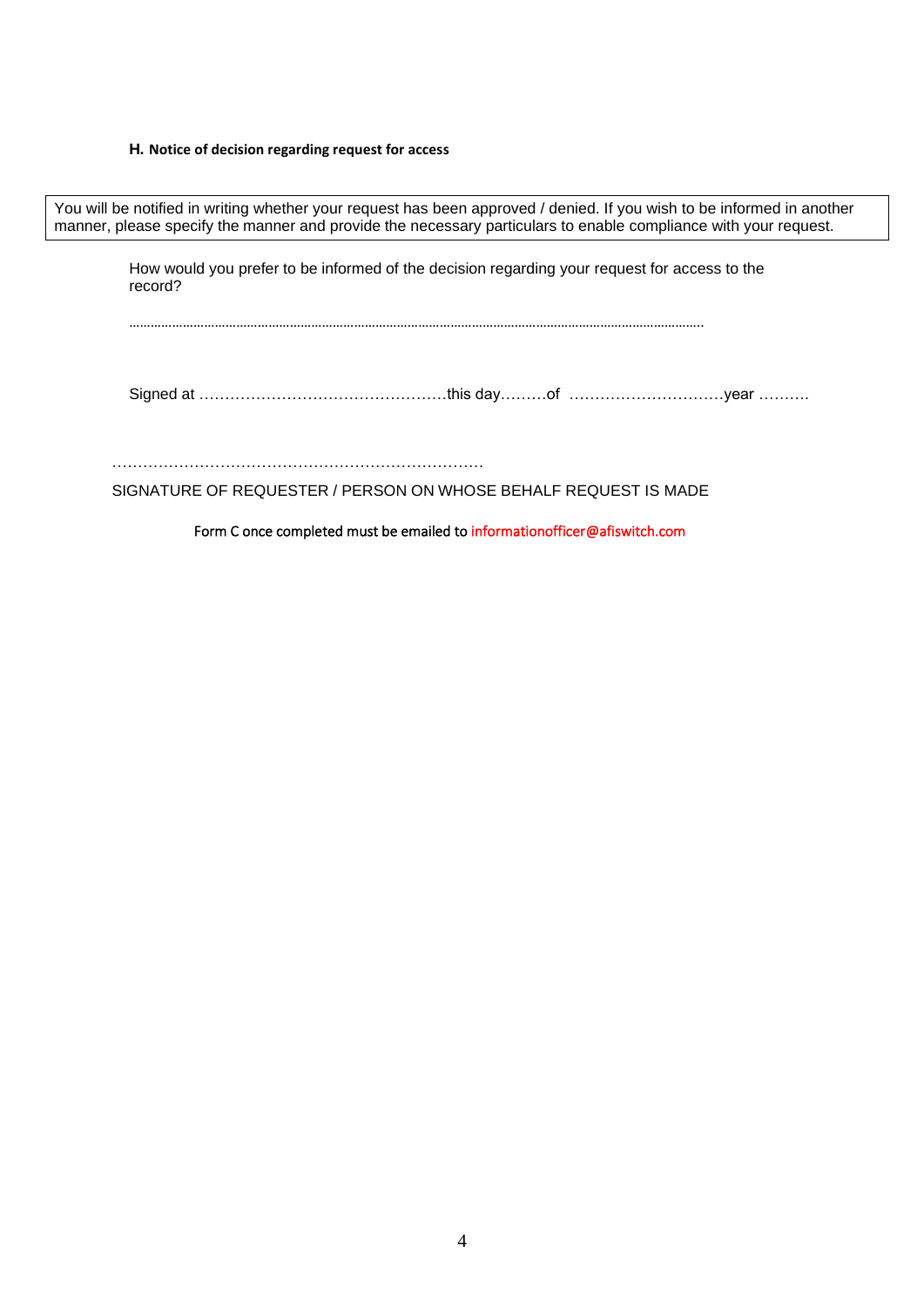### **H. Notice of decision regarding request for access**

How would you prefer to be informed of the decision regarding your request for access to the record? …………………………………………………………………………………………………………………………………………….. Signed at …………………………………………this day………of …………………………year ………. ……………………………………………………………… You will be notified in writing whether your request has been approved / denied. If you wish to be informed in another manner, please specify the manner and provide the necessary particulars to enable compliance with your request.

SIGNATURE OF REQUESTER / PERSON ON WHOSE BEHALF REQUEST IS MADE

Form C once completed must be emailed to informationofficer@afiswitch.com